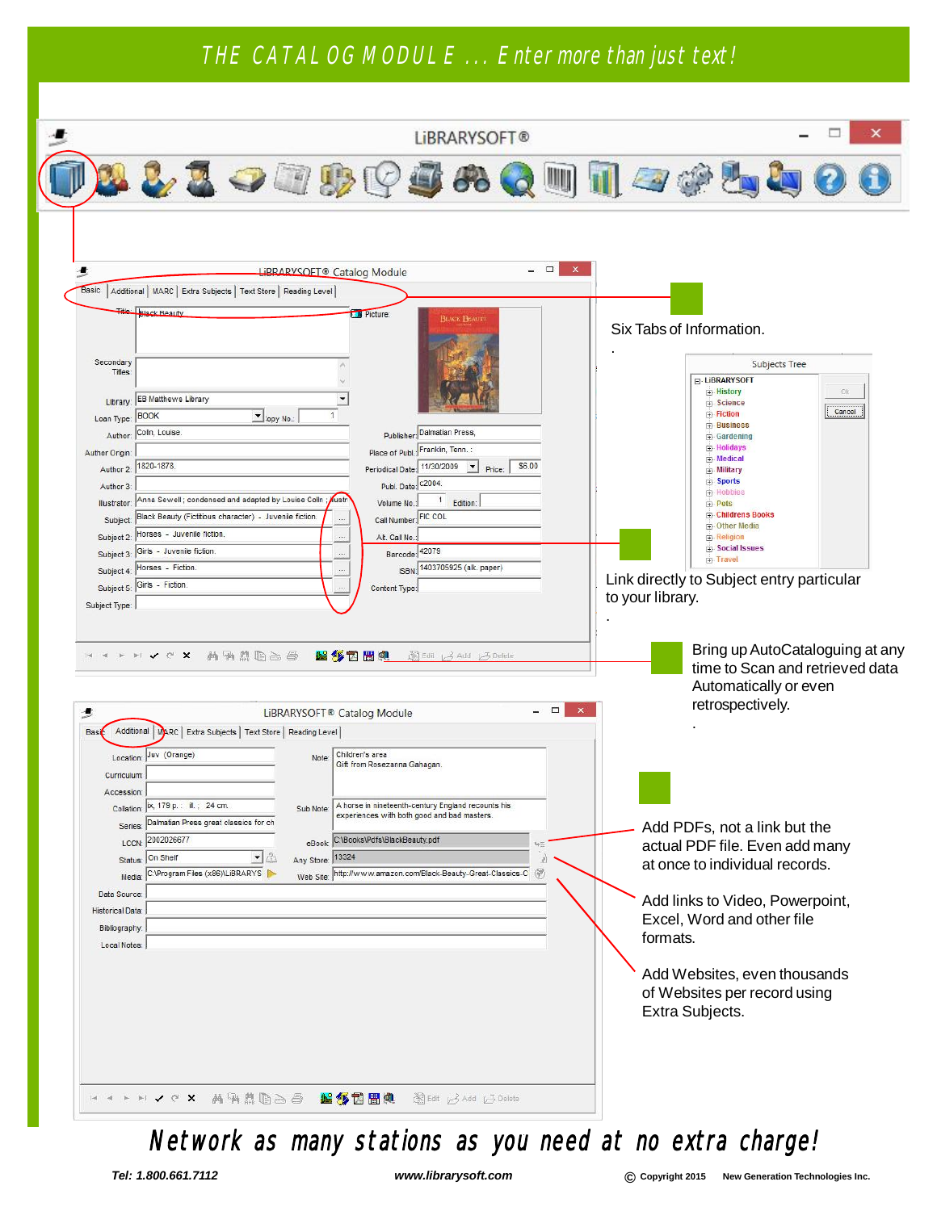#### THE CATALOG MODULE ... Enter more than just text!

|                                                                                                                                                                                      |                                                                                                                                                                                                                                                                                                                                                                                          |                              |                                  |       |                                                                                                                                   |                                                                                                                                          | LIBRARYSOFT®                                                                                         |        |                     |                  |                 |                                                                                                                                                                                                                                                                                                                                                                                                      |                      |              |  |
|--------------------------------------------------------------------------------------------------------------------------------------------------------------------------------------|------------------------------------------------------------------------------------------------------------------------------------------------------------------------------------------------------------------------------------------------------------------------------------------------------------------------------------------------------------------------------------------|------------------------------|----------------------------------|-------|-----------------------------------------------------------------------------------------------------------------------------------|------------------------------------------------------------------------------------------------------------------------------------------|------------------------------------------------------------------------------------------------------|--------|---------------------|------------------|-----------------|------------------------------------------------------------------------------------------------------------------------------------------------------------------------------------------------------------------------------------------------------------------------------------------------------------------------------------------------------------------------------------------------------|----------------------|--------------|--|
|                                                                                                                                                                                      | 22399995                                                                                                                                                                                                                                                                                                                                                                                 |                              |                                  |       |                                                                                                                                   |                                                                                                                                          |                                                                                                      |        |                     |                  |                 | $\Omega$ with $\mathbb Z$ of $\mathbb Z$                                                                                                                                                                                                                                                                                                                                                             |                      |              |  |
| - 5<br>Secondary<br>Titles:<br>Loan Type: BOOK<br>Author: Colln, Louise.<br>Author Origin:<br>Author 2:<br>Author 3:<br>Illustrator:<br>Subject 5: Girls - Fiction.<br>Subject Type: | Basic   Additional   MARC   Extra Subjects   Text Store   Reading Level  <br>File: Black Reauty<br>Library: EB Matthews Library<br>1820-1878.<br>Anna Sewell; condensed and adapted by Louise Colin<br>Subject: Black Beauty (Fictitious character) - Juvenile fiction.<br>Subject 2: Horses - Juvenile fiction.<br>Subject 3: Girls - Juvenile fiction.<br>Subject 4: Horses - Fiction. | $\bigtriangledown$ :opy No.: |                                  | wustr | <b>LiBRARYSOFT®</b> Catalog Module<br><b>Di</b> Picture:<br>Volume No.:<br>Alt. Call No.:<br>Content Type:                        | Publisher: Dalmatian Press,<br>Place of Publ.: Franklin, Tenn.:<br>Publ. Date: c2004.<br>Call Number: FIC COL<br>Barcode: 42079<br>ISBN: | <b>BLACK BEAUTY</b><br>Periodical Date: 11/30/2009 - Price:<br>1 Edition:<br>1403705925 (alk. paper) | \$6.00 | $\Box$<br>$\times$  | to your library. |                 | Six Tabs of Information.<br>F-LIBRARYSOFT<br><b>E</b> -History<br>Fi-Science<br><b>El</b> -Fiction<br>F-Business<br>Gardening<br>Holidays<br><b>E</b> -Medical<br>F-Military<br><b>E-Sports</b><br><b>由</b> -Hobbies<br><b>E</b> -Pets<br><b>E</b> -Childrens Books<br><b>D</b> Other Media<br><b>E</b> -Religion<br>Social Issues<br><b>Fi</b> -Travel<br>Link directly to Subject entry particular | <b>Subjects Tree</b> | OK<br>Cancel |  |
| F<br>Æ<br><b>Basic</b><br>Curriculum:<br>Accession:<br>Series:<br>LCCN:<br><b>Status</b>                                                                                             | ✔で× 两角点胆占白 超多因圖與 美国 L3 Add G Delete<br>Additional MARC   Extra Subjects   Text Store   Reading Level  <br>Location: Juv (Orange)<br>Collation:   ix, 179 p. : ill. ; 24 cm.<br>Dalmatian Press great classics for ch<br>2002026677<br>On Shelf                                                                                                                                           | $-1$                         | Note:<br>Sub Note:<br>Any Store: | 13324 | LiBRARYSOFT <sup>®</sup> Catalog Module<br>Children's area<br>Gift from Rosezanna Gahagan<br>eBook: C:\Books\Pdfs\BlackBeauty.pdf |                                                                                                                                          | A horse in nineteenth-century England recounts his<br>experiences with both good and bad masters.    | ωΞ     | $ \Box$<br>$\times$ |                  |                 | Bring up AutoCataloguing at any<br>time to Scan and retrieved data<br>Automatically or even<br>retrospectively.<br>Add PDFs, not a link but the<br>actual PDF file. Even add many<br>at once to individual records.                                                                                                                                                                                  |                      |              |  |
| Media:<br>Data Source:<br><b>Historical Data:</b><br>Bibliography:<br>Local Notes:                                                                                                   | C:\Program Files (x86)\LiBRARYS                                                                                                                                                                                                                                                                                                                                                          |                              | Web Site:                        |       |                                                                                                                                   |                                                                                                                                          | http://www.amazon.com/Black-Beauty-Great-Classics-C                                                  | F.     |                     | formats.         | Extra Subjects. | Add links to Video, Powerpoint,<br>Excel, Word and other file<br>Add Websites, even thousands<br>of Websites per record using                                                                                                                                                                                                                                                                        |                      |              |  |

Network as many stations as you need at no extra charge!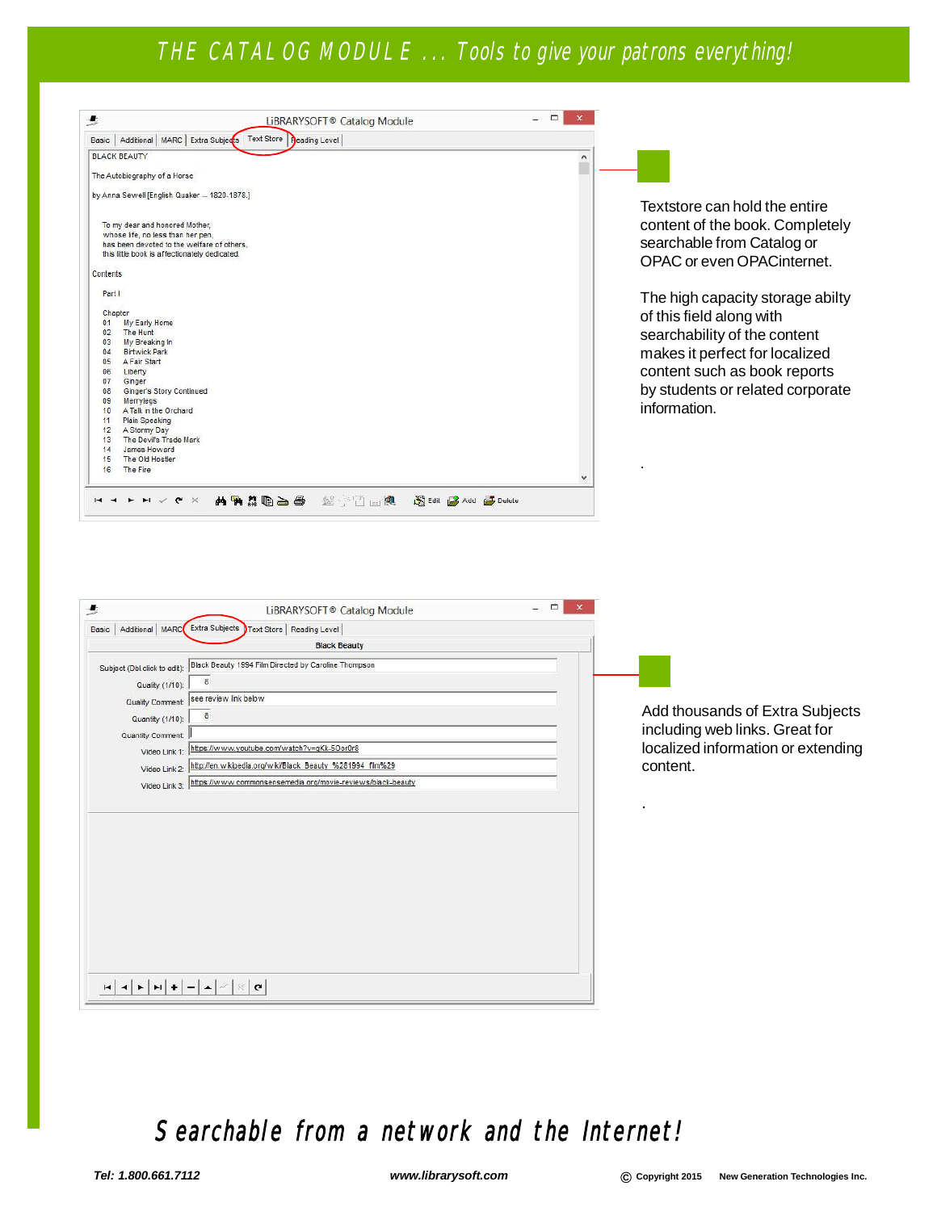#### THE CATALOG MODULE ... Tools to give your patrons everything!

| ∙        | LiBRARYSOFT <sup>®</sup> Catalog Module                                                                                                                            | ▭<br>$\mathsf{x}$ |
|----------|--------------------------------------------------------------------------------------------------------------------------------------------------------------------|-------------------|
|          | Basic   Additional   MARC   Extra Subjects   Text Store   Deading Level                                                                                            |                   |
|          | <b>BLACK BEAUTY</b>                                                                                                                                                | ۸                 |
|          | The Autobiography of a Horse                                                                                                                                       |                   |
|          | by Anna Sewell [English Quaker - 1820-1878.]                                                                                                                       |                   |
|          | To my dear and honored Mother,<br>whose life, no less than her pen,<br>has been devoted to the welfare of others.<br>this little book is affectionately dedicated. |                   |
| Contents |                                                                                                                                                                    |                   |
| Part I   |                                                                                                                                                                    |                   |
| Chapter  |                                                                                                                                                                    |                   |
| 01       | My Early Home                                                                                                                                                      |                   |
| 02       | The Hunt                                                                                                                                                           |                   |
| 03       | My Breaking In                                                                                                                                                     |                   |
| 04       | <b>Birtwick Park</b>                                                                                                                                               |                   |
| 05       | A Fair Start                                                                                                                                                       |                   |
| 06       | Liberty                                                                                                                                                            |                   |
| 07       | Ginger                                                                                                                                                             |                   |
| 08       | Ginger's Story Continued                                                                                                                                           |                   |
| 09       | Merrylegs                                                                                                                                                          |                   |
| 10       | A Talk in the Orchard                                                                                                                                              |                   |
| 11       | Plain Speaking                                                                                                                                                     |                   |
| 12       | A Stormy Day                                                                                                                                                       |                   |
| 13       | The Devil's Trade Mark                                                                                                                                             |                   |
| 14       | James Howard                                                                                                                                                       |                   |
| 15       | The Old Hostler                                                                                                                                                    |                   |
| 16       | The Fire                                                                                                                                                           |                   |

Textstore can hold the entire content of the book. Completely searchable from Catalog or OPAC or even OPACinternet.

The high capacity storage abilty of this field along with searchability of the content makes it perfect for localized content such as book reports by students or related corporate information.

.

.

| 侵                            | □<br>×<br>LiBRARYSOFT® Catalog Module                               |  |
|------------------------------|---------------------------------------------------------------------|--|
|                              | Basic   Additional   MARC Extra Subjects Text Store   Reading Level |  |
|                              | <b>Black Beauty</b>                                                 |  |
| Subject (Dbl.click to edit): | Black Beauty 1994 Film Directed by Caroline Thompson                |  |
| Quality (1/10):              | 8                                                                   |  |
| Quality Comment:             | see review link below                                               |  |
| Quantity (1/10):             | 8                                                                   |  |
| Quantity Comment:            |                                                                     |  |
| Video Link 1:                | https://www.youtube.com/watch?v=qKk-5Oor0r8                         |  |
| Video Link 2:                | http://en.wikipedia.org/wiki/Black Beauty %281994 film%29           |  |
| Video Link 3:                | https://www.commonsensemedia.org/movie-reviews/black-beauty         |  |
|                              |                                                                     |  |
|                              | $\mathbf{C}$                                                        |  |

Add thousands of Extra Subjects including web links. Great for localized information or extending content.

#### Searchable from a network and the Internet!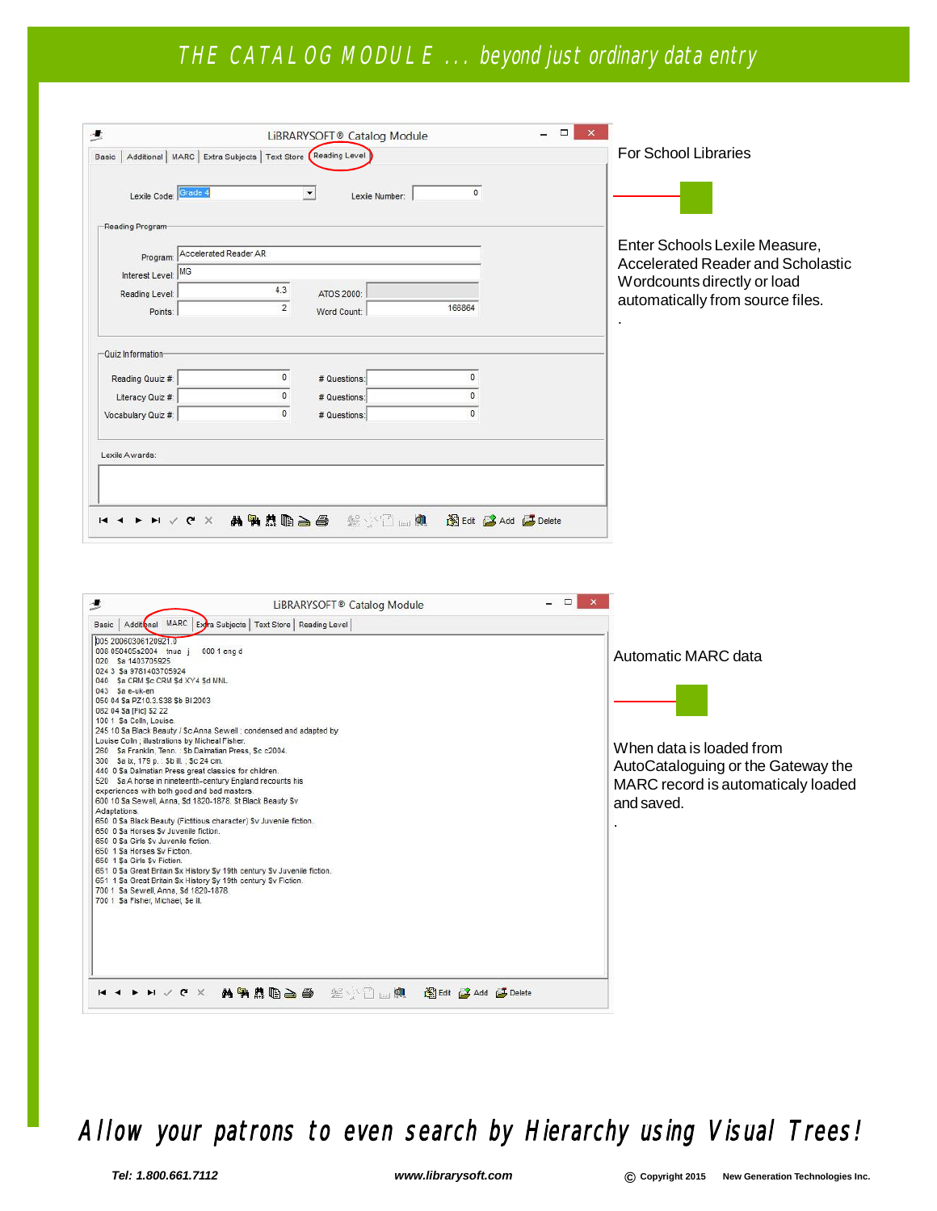### THE CATALOG MODULE ... beyond just ordinary data entry

| Basic  <br>Lexile Code: Grade 4                            | Additional   MARC   Extra Subjects   Text Store (Reading Level) | $\blacktriangledown$                   | $\theta$             | <b>For School Libraries</b>       |
|------------------------------------------------------------|-----------------------------------------------------------------|----------------------------------------|----------------------|-----------------------------------|
| Reading Program                                            |                                                                 | Lexile Number:                         |                      |                                   |
|                                                            | Program: Accelerated Reader AR                                  |                                        |                      | Enter Schools Lexile Measure,     |
| Interest Level: MG                                         |                                                                 |                                        |                      | Accelerated Reader and Scholastic |
| Reading Level:                                             | 4.3                                                             | ATOS 2000:                             |                      | Wordcounts directly or load       |
| Points:                                                    | $\overline{2}$                                                  | Word Count:                            | 166864               | automatically from source files.  |
| -Quiz Information-<br>Reading Quuiz #:<br>Literacy Quiz #: | n<br>n                                                          | # Questions:<br># Questions:           | $\Omega$<br>$\Omega$ |                                   |
| Vocabulary Quiz #:                                         | $\mathbf{0}$                                                    | # Questions:                           | $\mathbf{0}$         |                                   |
| Lexile Awards:                                             |                                                                 |                                        |                      |                                   |
|                                                            |                                                                 |                                        |                      |                                   |
| н. н                                                       | $M \wedge G \times$                                             | <b>两角点的高色</b> 丝小口画桌 超Edit Add A Delete |                      |                                   |

| ≛                                                                                                                                                                                                                                                                                                                                                                                                                                                                                                                                                                                                                                                                                                                                                                                                                                                                                                                                                                                                                                                                                                                                                                                                                                       | LiBRARYSOFT® Catalog Module     | $\Box$ |                                                                                                                                           |
|-----------------------------------------------------------------------------------------------------------------------------------------------------------------------------------------------------------------------------------------------------------------------------------------------------------------------------------------------------------------------------------------------------------------------------------------------------------------------------------------------------------------------------------------------------------------------------------------------------------------------------------------------------------------------------------------------------------------------------------------------------------------------------------------------------------------------------------------------------------------------------------------------------------------------------------------------------------------------------------------------------------------------------------------------------------------------------------------------------------------------------------------------------------------------------------------------------------------------------------------|---------------------------------|--------|-------------------------------------------------------------------------------------------------------------------------------------------|
| Basic   Additional MARC   Extra Subjects   Text Store   Reading Level                                                                                                                                                                                                                                                                                                                                                                                                                                                                                                                                                                                                                                                                                                                                                                                                                                                                                                                                                                                                                                                                                                                                                                   |                                 |        |                                                                                                                                           |
| 005 20060306120921.0<br>008 050405s2004 tnua j<br>000 1 eng d<br>020 Sa 1403705925<br>024 3 Sa 9781403705924<br>040 Sa CRM Sc CRM Sd XY4 Sd MNL<br>$043$ Sa e-uk-en<br>050 04 Sa PZ10.3.S38 Sb BI 2003<br>082 04 Sa [Fic] \$2 22<br>100 1 Sa Colln, Louise.<br>245 10 \$a Black Beauty / \$c Anna Sewell; condensed and adapted by<br>Louise Colln ; illustrations by Micheal Fisher.<br>260 Sa Franklin, Tenn.: \$b Dalmatian Press, \$c c2004.<br>300 Sa ix, 179 p. : \$b ill. ; \$c 24 cm.<br>440 0 Sa Dalmatian Press great classics for children.<br>520 Sa A horse in nineteenth-century England recounts his<br>experiences with both good and bad masters.<br>600 10 Sa Sewell, Anna, \$d 1820-1878. \$t Black Beauty \$v<br>Adaptations.<br>650 0 Sa Black Beauty (Fictitious character) Sv Juvenile fiction.<br>650 0 Sa Horses Sy Juvenile fiction.<br>650 0 Sa Girls Sy Juvenile fiction.<br>650 1 Sa Horses Sy Fiction.<br>650 1 Sa Girls Sv Fiction.<br>651 0 Sa Great Britain Sx History Sy 19th century Sv Juvenile fiction.<br>651 1 Sa Great Britain \$x History \$y 19th century \$v Fiction.<br>700 1 Sa Sewell, Anna, Sd 1820-1878.<br>700 1 Sa Fisher, Michael, Se ill.<br>$\times$ 9 $\times$ H $\times$<br>$-1$ | 英国美国主义 医小口血血 超Edit Add A Delete |        | Automatic MARC data<br>When data is loaded from<br>AutoCataloguing or the Gateway the<br>MARC record is automaticaly loaded<br>and saved. |

## Allow your patrons to even search by Hierarchy using Visual Trees!